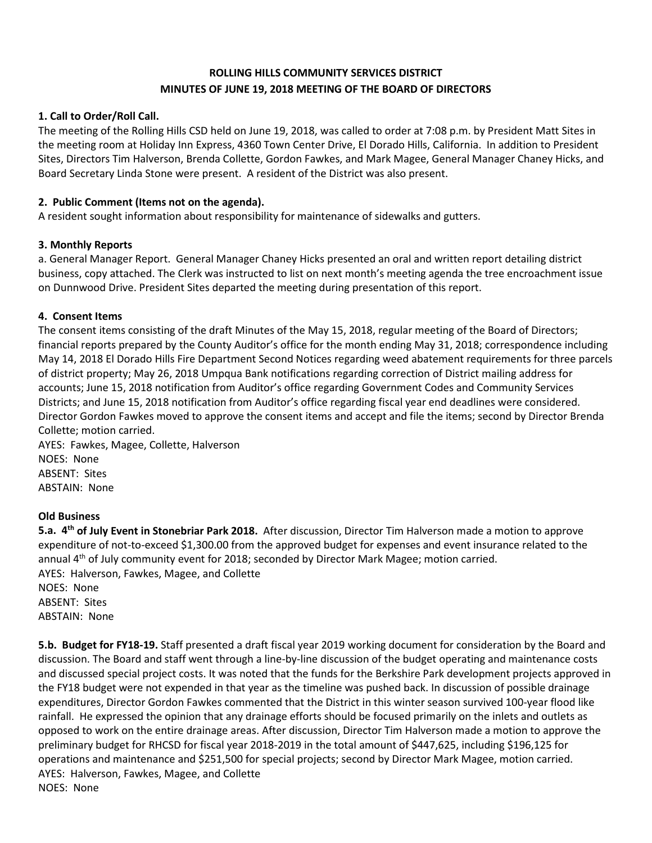# **ROLLING HILLS COMMUNITY SERVICES DISTRICT MINUTES OF JUNE 19, 2018 MEETING OF THE BOARD OF DIRECTORS**

## **1. Call to Order/Roll Call.**

The meeting of the Rolling Hills CSD held on June 19, 2018, was called to order at 7:08 p.m. by President Matt Sites in the meeting room at Holiday Inn Express, 4360 Town Center Drive, El Dorado Hills, California. In addition to President Sites, Directors Tim Halverson, Brenda Collette, Gordon Fawkes, and Mark Magee, General Manager Chaney Hicks, and Board Secretary Linda Stone were present. A resident of the District was also present.

## **2. Public Comment (Items not on the agenda).**

A resident sought information about responsibility for maintenance of sidewalks and gutters.

#### **3. Monthly Reports**

a. General Manager Report. General Manager Chaney Hicks presented an oral and written report detailing district business, copy attached. The Clerk was instructed to list on next month's meeting agenda the tree encroachment issue on Dunnwood Drive. President Sites departed the meeting during presentation of this report.

#### **4. Consent Items**

The consent items consisting of the draft Minutes of the May 15, 2018, regular meeting of the Board of Directors; financial reports prepared by the County Auditor's office for the month ending May 31, 2018; correspondence including May 14, 2018 El Dorado Hills Fire Department Second Notices regarding weed abatement requirements for three parcels of district property; May 26, 2018 Umpqua Bank notifications regarding correction of District mailing address for accounts; June 15, 2018 notification from Auditor's office regarding Government Codes and Community Services Districts; and June 15, 2018 notification from Auditor's office regarding fiscal year end deadlines were considered. Director Gordon Fawkes moved to approve the consent items and accept and file the items; second by Director Brenda Collette; motion carried.

AYES: Fawkes, Magee, Collette, Halverson NOES: None ABSENT: Sites ABSTAIN: None

#### **Old Business**

**5.a. 4th of July Event in Stonebriar Park 2018.** After discussion, Director Tim Halverson made a motion to approve expenditure of not-to-exceed \$1,300.00 from the approved budget for expenses and event insurance related to the annual 4th of July community event for 2018; seconded by Director Mark Magee; motion carried. AYES: Halverson, Fawkes, Magee, and Collette NOES: None ABSENT: Sites ABSTAIN: None

**5.b. Budget for FY18-19.** Staff presented a draft fiscal year 2019 working document for consideration by the Board and discussion. The Board and staff went through a line-by-line discussion of the budget operating and maintenance costs and discussed special project costs. It was noted that the funds for the Berkshire Park development projects approved in the FY18 budget were not expended in that year as the timeline was pushed back. In discussion of possible drainage expenditures, Director Gordon Fawkes commented that the District in this winter season survived 100-year flood like rainfall. He expressed the opinion that any drainage efforts should be focused primarily on the inlets and outlets as opposed to work on the entire drainage areas. After discussion, Director Tim Halverson made a motion to approve the preliminary budget for RHCSD for fiscal year 2018-2019 in the total amount of \$447,625, including \$196,125 for operations and maintenance and \$251,500 for special projects; second by Director Mark Magee, motion carried. AYES: Halverson, Fawkes, Magee, and Collette NOES: None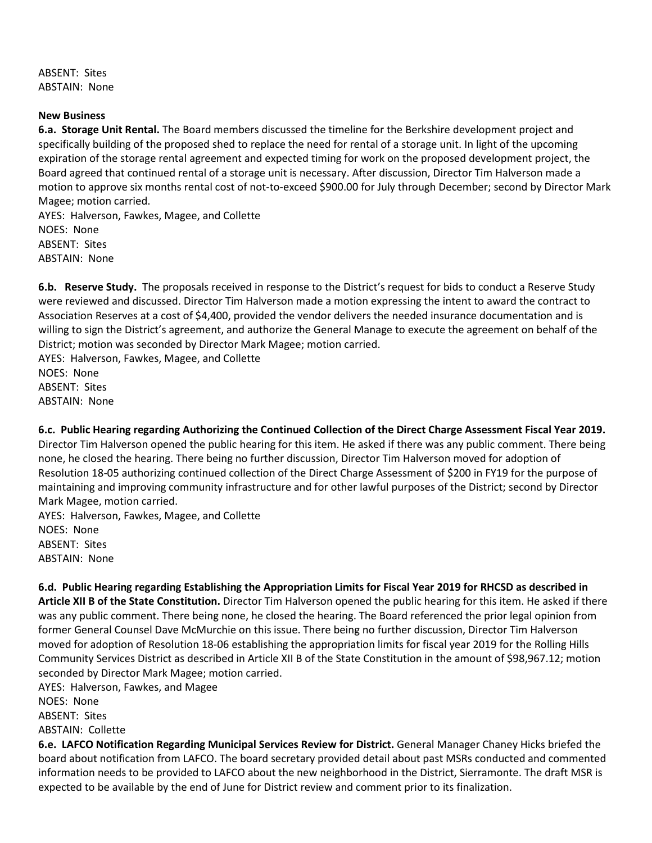ABSENT: Sites ABSTAIN: None

#### **New Business**

**6.a. Storage Unit Rental.** The Board members discussed the timeline for the Berkshire development project and specifically building of the proposed shed to replace the need for rental of a storage unit. In light of the upcoming expiration of the storage rental agreement and expected timing for work on the proposed development project, the Board agreed that continued rental of a storage unit is necessary. After discussion, Director Tim Halverson made a motion to approve six months rental cost of not-to-exceed \$900.00 for July through December; second by Director Mark Magee; motion carried.

AYES: Halverson, Fawkes, Magee, and Collette NOES: None ABSENT: Sites ABSTAIN: None

**6.b. Reserve Study.** The proposals received in response to the District's request for bids to conduct a Reserve Study were reviewed and discussed. Director Tim Halverson made a motion expressing the intent to award the contract to Association Reserves at a cost of \$4,400, provided the vendor delivers the needed insurance documentation and is willing to sign the District's agreement, and authorize the General Manage to execute the agreement on behalf of the District; motion was seconded by Director Mark Magee; motion carried.

AYES: Halverson, Fawkes, Magee, and Collette NOES: None ABSENT: Sites ABSTAIN: None

**6.c. Public Hearing regarding Authorizing the Continued Collection of the Direct Charge Assessment Fiscal Year 2019.** Director Tim Halverson opened the public hearing for this item. He asked if there was any public comment. There being none, he closed the hearing. There being no further discussion, Director Tim Halverson moved for adoption of Resolution 18-05 authorizing continued collection of the Direct Charge Assessment of \$200 in FY19 for the purpose of maintaining and improving community infrastructure and for other lawful purposes of the District; second by Director Mark Magee, motion carried.

AYES: Halverson, Fawkes, Magee, and Collette NOES: None ABSENT: Sites ABSTAIN: None

**6.d. Public Hearing regarding Establishing the Appropriation Limits for Fiscal Year 2019 for RHCSD as described in Article XII B of the State Constitution.** Director Tim Halverson opened the public hearing for this item. He asked if there was any public comment. There being none, he closed the hearing. The Board referenced the prior legal opinion from former General Counsel Dave McMurchie on this issue. There being no further discussion, Director Tim Halverson moved for adoption of Resolution 18-06 establishing the appropriation limits for fiscal year 2019 for the Rolling Hills Community Services District as described in Article XII B of the State Constitution in the amount of \$98,967.12; motion seconded by Director Mark Magee; motion carried.

AYES: Halverson, Fawkes, and Magee NOES: None ABSENT: Sites ABSTAIN: Collette

**6.e. LAFCO Notification Regarding Municipal Services Review for District.** General Manager Chaney Hicks briefed the board about notification from LAFCO. The board secretary provided detail about past MSRs conducted and commented information needs to be provided to LAFCO about the new neighborhood in the District, Sierramonte. The draft MSR is expected to be available by the end of June for District review and comment prior to its finalization.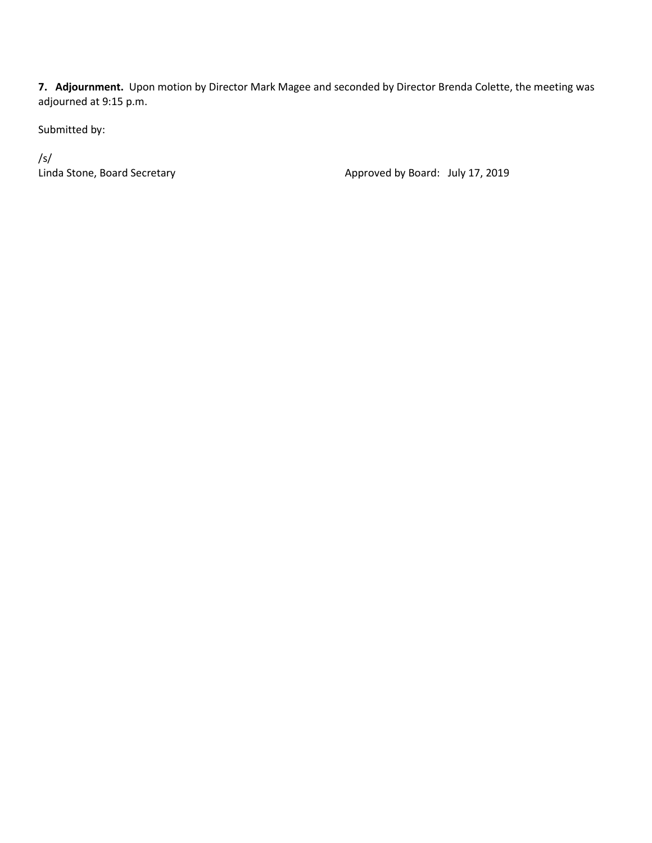**7. Adjournment.** Upon motion by Director Mark Magee and seconded by Director Brenda Colette, the meeting was adjourned at 9:15 p.m.

Submitted by:

/s/<br>Linda Stone, Board Secretary

Approved by Board: July 17, 2019